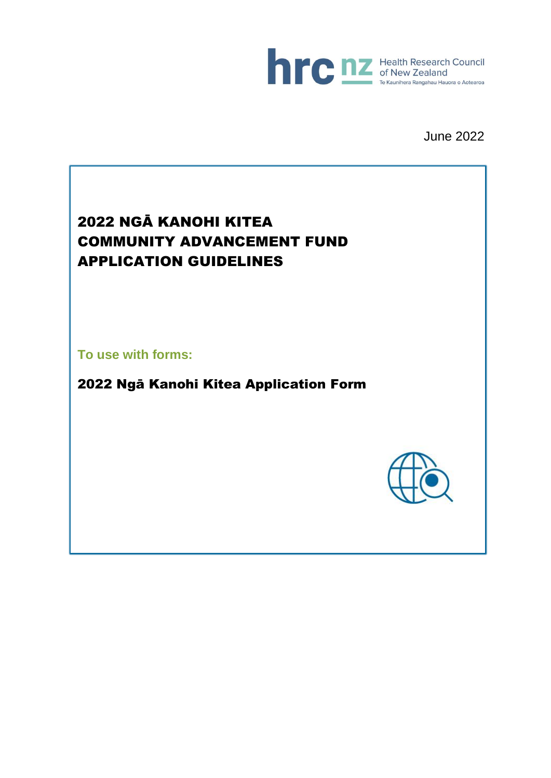

June 2022

# 2022 NGĀ KANOHI KITEA COMMUNITY ADVANCEMENT FUND APPLICATION GUIDELINES

**To use with forms:**

2022 Ngā Kanohi Kitea Application Form

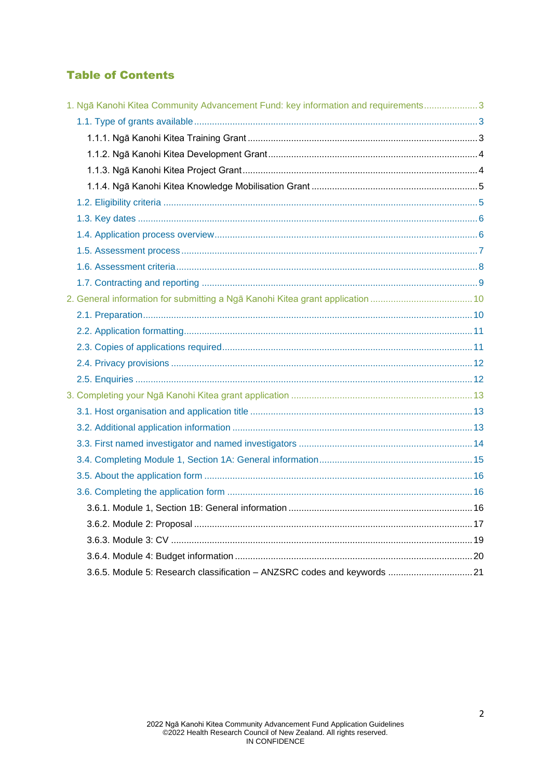# **Table of Contents**

| 1. Ngā Kanohi Kitea Community Advancement Fund: key information and requirements 3 |  |
|------------------------------------------------------------------------------------|--|
|                                                                                    |  |
|                                                                                    |  |
|                                                                                    |  |
|                                                                                    |  |
|                                                                                    |  |
|                                                                                    |  |
|                                                                                    |  |
|                                                                                    |  |
|                                                                                    |  |
|                                                                                    |  |
|                                                                                    |  |
|                                                                                    |  |
|                                                                                    |  |
|                                                                                    |  |
|                                                                                    |  |
|                                                                                    |  |
|                                                                                    |  |
|                                                                                    |  |
|                                                                                    |  |
|                                                                                    |  |
|                                                                                    |  |
|                                                                                    |  |
|                                                                                    |  |
|                                                                                    |  |
|                                                                                    |  |
|                                                                                    |  |
|                                                                                    |  |
|                                                                                    |  |
| 3.6.5. Module 5: Research classification - ANZSRC codes and keywords  21           |  |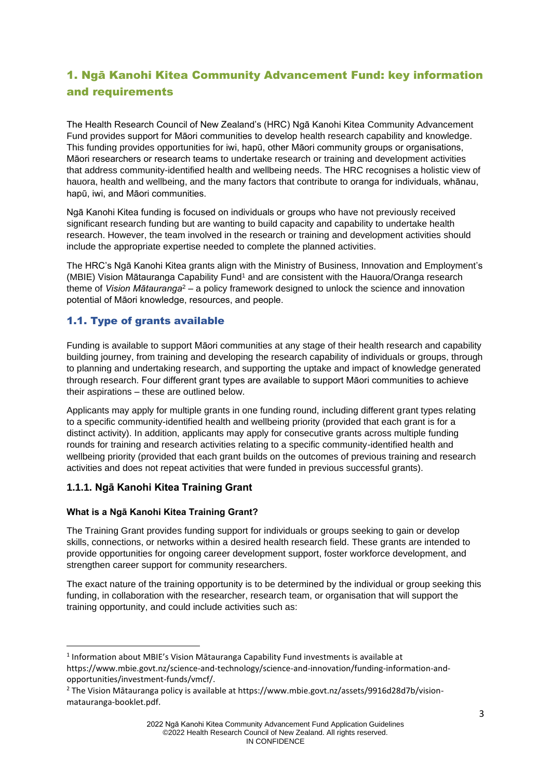# <span id="page-2-0"></span>1. Ngā Kanohi Kitea Community Advancement Fund: key information and requirements

The Health Research Council of New Zealand's (HRC) Ngā Kanohi Kitea Community Advancement Fund provides support for Māori communities to develop health research capability and knowledge. This funding provides opportunities for iwi, hapū, other Māori community groups or organisations, Māori researchers or research teams to undertake research or training and development activities that address community-identified health and wellbeing needs. The HRC recognises a holistic view of hauora, health and wellbeing, and the many factors that contribute to oranga for individuals, whānau, hapū, iwi, and Māori communities.

Ngā Kanohi Kitea funding is focused on individuals or groups who have not previously received significant research funding but are wanting to build capacity and capability to undertake health research. However, the team involved in the research or training and development activities should include the appropriate expertise needed to complete the planned activities.

The HRC's Ngā Kanohi Kitea grants align with the Ministry of Business, Innovation and Employment's (MBIE) Vision Mātauranga Capability Fund<sup>1</sup> and are consistent with the Hauora/Oranga research theme of *Vision Mātauranga*<sup>2</sup> – a policy framework designed to unlock the science and innovation potential of Māori knowledge, resources, and people.

# <span id="page-2-1"></span>1.1. Type of grants available

Funding is available to support Māori communities at any stage of their health research and capability building journey, from training and developing the research capability of individuals or groups, through to planning and undertaking research, and supporting the uptake and impact of knowledge generated through research. Four different grant types are available to support Māori communities to achieve their aspirations – these are outlined below.

Applicants may apply for multiple grants in one funding round, including different grant types relating to a specific community-identified health and wellbeing priority (provided that each grant is for a distinct activity). In addition, applicants may apply for consecutive grants across multiple funding rounds for training and research activities relating to a specific community-identified health and wellbeing priority (provided that each grant builds on the outcomes of previous training and research activities and does not repeat activities that were funded in previous successful grants).

# <span id="page-2-2"></span>**1.1.1. Ngā Kanohi Kitea Training Grant**

# **What is a Ngā Kanohi Kitea Training Grant?**

The Training Grant provides funding support for individuals or groups seeking to gain or develop skills, connections, or networks within a desired health research field. These grants are intended to provide opportunities for ongoing career development support, foster workforce development, and strengthen career support for community researchers.

The exact nature of the training opportunity is to be determined by the individual or group seeking this funding, in collaboration with the researcher, research team, or organisation that will support the training opportunity, and could include activities such as:

<sup>&</sup>lt;sup>1</sup> Information about MBIE's Vision Mātauranga Capability Fund investments is available at https://www.mbie.govt.nz/science-and-technology/science-and-innovation/funding-information-andopportunities/investment-funds/vmcf/.

<sup>2</sup> The Vision Mātauranga policy is available at https://www.mbie.govt.nz/assets/9916d28d7b/visionmatauranga-booklet.pdf.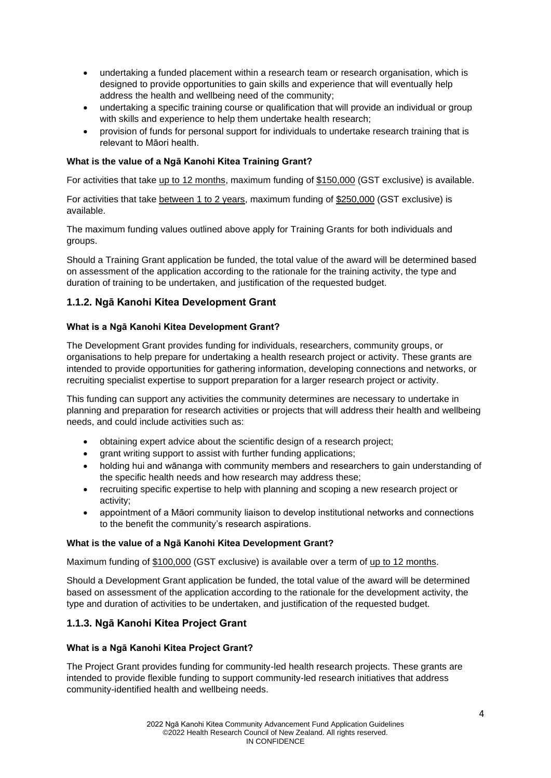- undertaking a funded placement within a research team or research organisation, which is designed to provide opportunities to gain skills and experience that will eventually help address the health and wellbeing need of the community;
- undertaking a specific training course or qualification that will provide an individual or group with skills and experience to help them undertake health research:
- provision of funds for personal support for individuals to undertake research training that is relevant to Māori health.

#### **What is the value of a Ngā Kanohi Kitea Training Grant?**

For activities that take up to 12 months, maximum funding of \$150,000 (GST exclusive) is available.

For activities that take between 1 to 2 years, maximum funding of \$250,000 (GST exclusive) is available.

The maximum funding values outlined above apply for Training Grants for both individuals and groups.

Should a Training Grant application be funded, the total value of the award will be determined based on assessment of the application according to the rationale for the training activity, the type and duration of training to be undertaken, and justification of the requested budget.

# <span id="page-3-0"></span>**1.1.2. Ngā Kanohi Kitea Development Grant**

#### **What is a Ngā Kanohi Kitea Development Grant?**

The Development Grant provides funding for individuals, researchers, community groups, or organisations to help prepare for undertaking a health research project or activity. These grants are intended to provide opportunities for gathering information, developing connections and networks, or recruiting specialist expertise to support preparation for a larger research project or activity.

This funding can support any activities the community determines are necessary to undertake in planning and preparation for research activities or projects that will address their health and wellbeing needs, and could include activities such as:

- obtaining expert advice about the scientific design of a research project;
- grant writing support to assist with further funding applications:
- holding hui and wānanga with community members and researchers to gain understanding of the specific health needs and how research may address these;
- recruiting specific expertise to help with planning and scoping a new research project or activity;
- appointment of a Māori community liaison to develop institutional networks and connections to the benefit the community's research aspirations.

#### **What is the value of a Ngā Kanohi Kitea Development Grant?**

Maximum funding of \$100,000 (GST exclusive) is available over a term of up to 12 months.

Should a Development Grant application be funded, the total value of the award will be determined based on assessment of the application according to the rationale for the development activity, the type and duration of activities to be undertaken, and justification of the requested budget.

# <span id="page-3-1"></span>**1.1.3. Ngā Kanohi Kitea Project Grant**

#### **What is a Ngā Kanohi Kitea Project Grant?**

The Project Grant provides funding for community-led health research projects. These grants are intended to provide flexible funding to support community-led research initiatives that address community-identified health and wellbeing needs.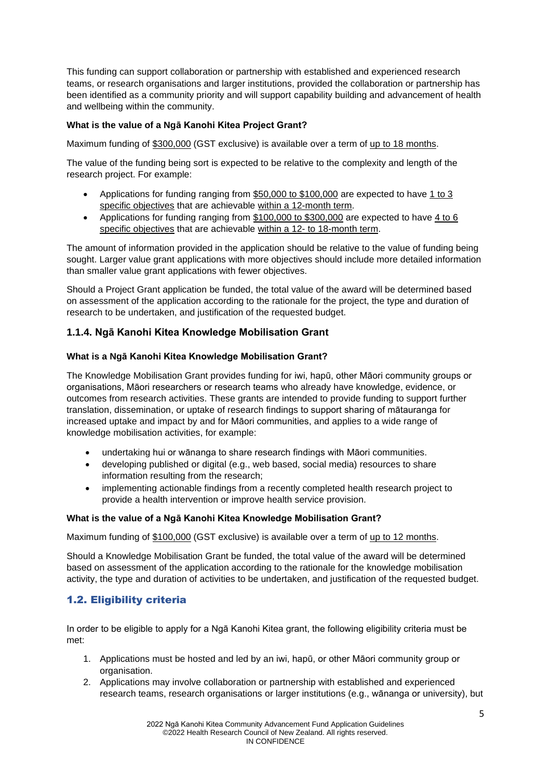This funding can support collaboration or partnership with established and experienced research teams, or research organisations and larger institutions, provided the collaboration or partnership has been identified as a community priority and will support capability building and advancement of health and wellbeing within the community.

## **What is the value of a Ngā Kanohi Kitea Project Grant?**

Maximum funding of \$300,000 (GST exclusive) is available over a term of up to 18 months.

The value of the funding being sort is expected to be relative to the complexity and length of the research project. For example:

- Applications for funding ranging from \$50,000 to \$100,000 are expected to have 1 to 3 specific objectives that are achievable within a 12-month term.
- Applications for funding ranging from \$100,000 to \$300,000 are expected to have 4 to 6 specific objectives that are achievable within a 12- to 18-month term.

The amount of information provided in the application should be relative to the value of funding being sought. Larger value grant applications with more objectives should include more detailed information than smaller value grant applications with fewer objectives.

Should a Project Grant application be funded, the total value of the award will be determined based on assessment of the application according to the rationale for the project, the type and duration of research to be undertaken, and justification of the requested budget.

# <span id="page-4-0"></span>**1.1.4. Ngā Kanohi Kitea Knowledge Mobilisation Grant**

#### **What is a Ngā Kanohi Kitea Knowledge Mobilisation Grant?**

The Knowledge Mobilisation Grant provides funding for iwi, hapū, other Māori community groups or organisations, Māori researchers or research teams who already have knowledge, evidence, or outcomes from research activities. These grants are intended to provide funding to support further translation, dissemination, or uptake of research findings to support sharing of mātauranga for increased uptake and impact by and for Māori communities, and applies to a wide range of knowledge mobilisation activities, for example:

- undertaking hui or wānanga to share research findings with Māori communities.
- developing published or digital (e.g., web based, social media) resources to share information resulting from the research;
- implementing actionable findings from a recently completed health research project to provide a health intervention or improve health service provision.

#### **What is the value of a Ngā Kanohi Kitea Knowledge Mobilisation Grant?**

Maximum funding of \$100,000 (GST exclusive) is available over a term of up to 12 months.

Should a Knowledge Mobilisation Grant be funded, the total value of the award will be determined based on assessment of the application according to the rationale for the knowledge mobilisation activity, the type and duration of activities to be undertaken, and justification of the requested budget.

# <span id="page-4-1"></span>1.2. Eligibility criteria

In order to be eligible to apply for a Ngā Kanohi Kitea grant, the following eligibility criteria must be met:

- 1. Applications must be hosted and led by an iwi, hapū, or other Māori community group or organisation.
- 2. Applications may involve collaboration or partnership with established and experienced research teams, research organisations or larger institutions (e.g., wānanga or university), but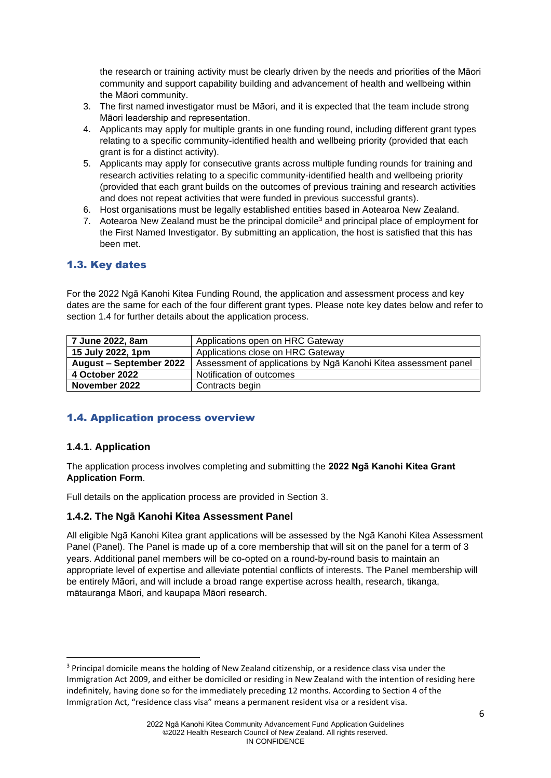the research or training activity must be clearly driven by the needs and priorities of the Māori community and support capability building and advancement of health and wellbeing within the Māori community.

- 3. The first named investigator must be Māori, and it is expected that the team include strong Māori leadership and representation.
- 4. Applicants may apply for multiple grants in one funding round, including different grant types relating to a specific community-identified health and wellbeing priority (provided that each grant is for a distinct activity).
- 5. Applicants may apply for consecutive grants across multiple funding rounds for training and research activities relating to a specific community-identified health and wellbeing priority (provided that each grant builds on the outcomes of previous training and research activities and does not repeat activities that were funded in previous successful grants).
- 6. Host organisations must be legally established entities based in Aotearoa New Zealand.
- 7. Aotearoa New Zealand must be the principal domicile<sup>3</sup> and principal place of employment for the First Named Investigator. By submitting an application, the host is satisfied that this has been met.

# <span id="page-5-0"></span>1.3. Key dates

For the 2022 Ngā Kanohi Kitea Funding Round, the application and assessment process and key dates are the same for each of the four different grant types. Please note key dates below and refer to section 1.4 for further details about the application process.

| 7 June 2022, 8am        | Applications open on HRC Gateway                                |  |
|-------------------------|-----------------------------------------------------------------|--|
| 15 July 2022, 1pm       | Applications close on HRC Gateway                               |  |
| August - September 2022 | Assessment of applications by Nga Kanohi Kitea assessment panel |  |
| 4 October 2022          | Notification of outcomes                                        |  |
| November 2022           | Contracts begin                                                 |  |

# <span id="page-5-1"></span>1.4. Application process overview

# **1.4.1. Application**

The application process involves completing and submitting the **2022 Ngā Kanohi Kitea Grant Application Form**.

Full details on the application process are provided in Section 3.

#### **1.4.2. The Ngā Kanohi Kitea Assessment Panel**

All eligible Ngā Kanohi Kitea grant applications will be assessed by the Ngā Kanohi Kitea Assessment Panel (Panel). The Panel is made up of a core membership that will sit on the panel for a term of 3 years. Additional panel members will be co-opted on a round-by-round basis to maintain an appropriate level of expertise and alleviate potential conflicts of interests. The Panel membership will be entirely Māori, and will include a broad range expertise across health, research, tikanga, mātauranga Māori, and kaupapa Māori research.

<sup>&</sup>lt;sup>3</sup> Principal domicile means the holding of New Zealand citizenship, or a residence class visa under the Immigration Act 2009, and either be domiciled or residing in New Zealand with the intention of residing here indefinitely, having done so for the immediately preceding 12 months. According to Section 4 of the Immigration Act, "residence class visa" means a permanent resident visa or a resident visa.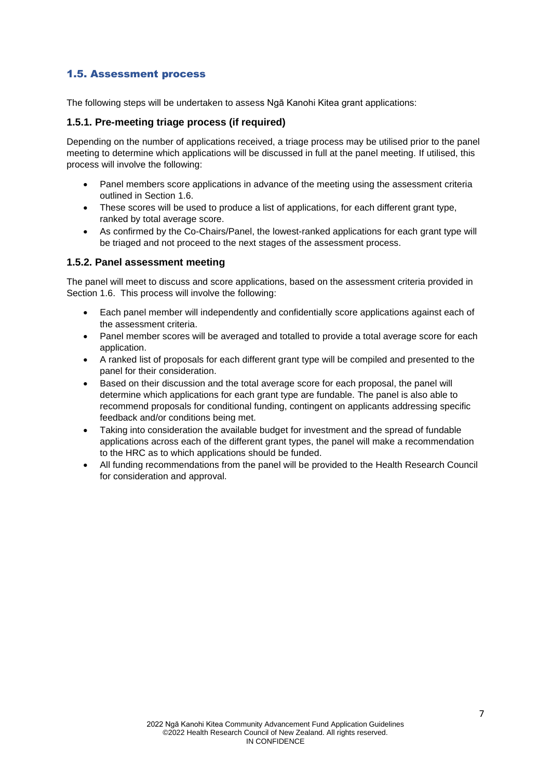# <span id="page-6-0"></span>1.5. Assessment process

The following steps will be undertaken to assess Ngā Kanohi Kitea grant applications:

## **1.5.1. Pre-meeting triage process (if required)**

Depending on the number of applications received, a triage process may be utilised prior to the panel meeting to determine which applications will be discussed in full at the panel meeting. If utilised, this process will involve the following:

- Panel members score applications in advance of the meeting using the assessment criteria outlined in Section 1.6.
- These scores will be used to produce a list of applications, for each different grant type, ranked by total average score.
- As confirmed by the Co-Chairs/Panel, the lowest-ranked applications for each grant type will be triaged and not proceed to the next stages of the assessment process.

## **1.5.2. Panel assessment meeting**

The panel will meet to discuss and score applications, based on the assessment criteria provided in Section 1.6. This process will involve the following:

- Each panel member will independently and confidentially score applications against each of the assessment criteria.
- Panel member scores will be averaged and totalled to provide a total average score for each application.
- A ranked list of proposals for each different grant type will be compiled and presented to the panel for their consideration.
- Based on their discussion and the total average score for each proposal, the panel will determine which applications for each grant type are fundable. The panel is also able to recommend proposals for conditional funding, contingent on applicants addressing specific feedback and/or conditions being met.
- Taking into consideration the available budget for investment and the spread of fundable applications across each of the different grant types, the panel will make a recommendation to the HRC as to which applications should be funded.
- All funding recommendations from the panel will be provided to the Health Research Council for consideration and approval.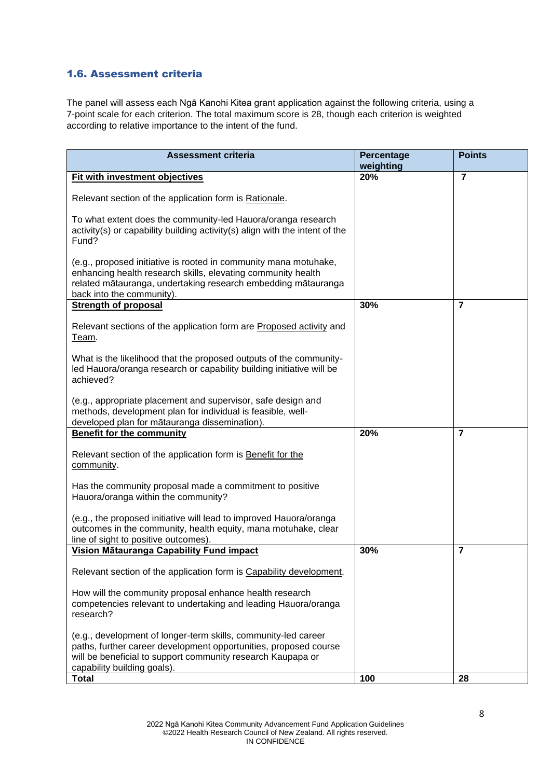# <span id="page-7-0"></span>1.6. Assessment criteria

The panel will assess each Ngā Kanohi Kitea grant application against the following criteria, using a 7-point scale for each criterion. The total maximum score is 28, though each criterion is weighted according to relative importance to the intent of the fund.

| <b>Assessment criteria</b>                                                                                                                                                                                                       | Percentage<br>weighting | <b>Points</b>  |
|----------------------------------------------------------------------------------------------------------------------------------------------------------------------------------------------------------------------------------|-------------------------|----------------|
| Fit with investment objectives                                                                                                                                                                                                   | 20%                     | $\overline{7}$ |
| Relevant section of the application form is Rationale.                                                                                                                                                                           |                         |                |
| To what extent does the community-led Hauora/oranga research<br>activity(s) or capability building activity(s) align with the intent of the<br>Fund?                                                                             |                         |                |
| (e.g., proposed initiative is rooted in community mana motuhake,<br>enhancing health research skills, elevating community health<br>related mātauranga, undertaking research embedding mātauranga<br>back into the community).   |                         |                |
| <b>Strength of proposal</b>                                                                                                                                                                                                      | 30%                     | $\overline{7}$ |
| Relevant sections of the application form are Proposed activity and<br>Team.                                                                                                                                                     |                         |                |
| What is the likelihood that the proposed outputs of the community-<br>led Hauora/oranga research or capability building initiative will be<br>achieved?                                                                          |                         |                |
| (e.g., appropriate placement and supervisor, safe design and<br>methods, development plan for individual is feasible, well-<br>developed plan for mātauranga dissemination).                                                     |                         |                |
| <b>Benefit for the community</b>                                                                                                                                                                                                 | 20%                     | $\overline{7}$ |
| Relevant section of the application form is Benefit for the<br>community.                                                                                                                                                        |                         |                |
| Has the community proposal made a commitment to positive<br>Hauora/oranga within the community?                                                                                                                                  |                         |                |
| (e.g., the proposed initiative will lead to improved Hauora/oranga<br>outcomes in the community, health equity, mana motuhake, clear<br>line of sight to positive outcomes).                                                     |                         |                |
| Vision Mātauranga Capability Fund impact                                                                                                                                                                                         | 30%                     | $\overline{7}$ |
| Relevant section of the application form is Capability development.                                                                                                                                                              |                         |                |
| How will the community proposal enhance health research<br>competencies relevant to undertaking and leading Hauora/oranga<br>research?                                                                                           |                         |                |
| (e.g., development of longer-term skills, community-led career<br>paths, further career development opportunities, proposed course<br>will be beneficial to support community research Kaupapa or<br>capability building goals). |                         |                |
| <b>Total</b>                                                                                                                                                                                                                     | 100                     | 28             |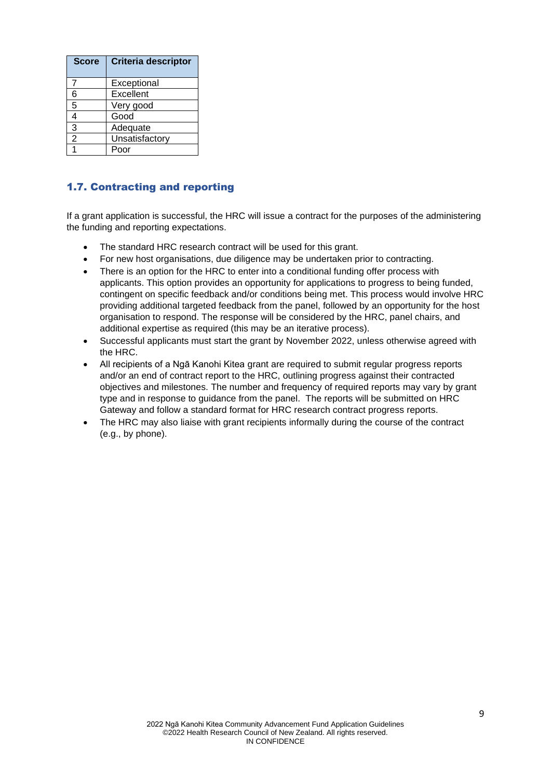| <b>Score</b> | <b>Criteria descriptor</b> |
|--------------|----------------------------|
| 7            | Exceptional                |
| 6            | Excellent                  |
| 5            | Very good                  |
| 4            | Good                       |
| 3            | Adequate                   |
| 2            | Unsatisfactory             |
|              | ۱O٢                        |

# <span id="page-8-0"></span>1.7. Contracting and reporting

If a grant application is successful, the HRC will issue a contract for the purposes of the administering the funding and reporting expectations.

- The standard HRC research contract will be used for this grant.
- For new host organisations, due diligence may be undertaken prior to contracting.
- There is an option for the HRC to enter into a conditional funding offer process with applicants. This option provides an opportunity for applications to progress to being funded, contingent on specific feedback and/or conditions being met. This process would involve HRC providing additional targeted feedback from the panel, followed by an opportunity for the host organisation to respond. The response will be considered by the HRC, panel chairs, and additional expertise as required (this may be an iterative process).
- Successful applicants must start the grant by November 2022, unless otherwise agreed with the HRC.
- All recipients of a Ngā Kanohi Kitea grant are required to submit regular progress reports and/or an end of contract report to the HRC, outlining progress against their contracted objectives and milestones. The number and frequency of required reports may vary by grant type and in response to guidance from the panel. The reports will be submitted on HRC Gateway and follow a standard format for HRC research contract progress reports.
- The HRC may also liaise with grant recipients informally during the course of the contract (e.g., by phone).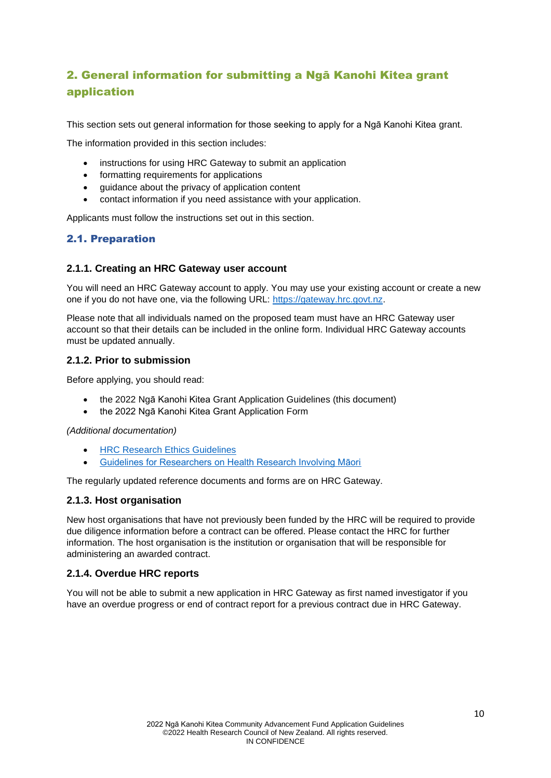# <span id="page-9-0"></span>2. General information for submitting a Ngā Kanohi Kitea grant application

This section sets out general information for those seeking to apply for a Ngā Kanohi Kitea grant.

The information provided in this section includes:

- instructions for using HRC Gateway to submit an application
- formatting requirements for applications
- guidance about the privacy of application content
- contact information if you need assistance with your application.

Applicants must follow the instructions set out in this section.

# <span id="page-9-1"></span>2.1. Preparation

# **2.1.1. Creating an HRC Gateway user account**

You will need an HRC Gateway account to apply. You may use your existing account or create a new one if you do not have one, via the following URL: [https://gateway.hrc.govt.nz.](https://gateway.hrc.govt.nz/)

Please note that all individuals named on the proposed team must have an HRC Gateway user account so that their details can be included in the online form. Individual HRC Gateway accounts must be updated annually.

## **2.1.2. Prior to submission**

Before applying, you should read:

- the 2022 Ngā Kanohi Kitea Grant Application Guidelines (this document)
- the 2022 Ngā Kanohi Kitea Grant Application Form

*(Additional documentation)*

- **[HRC Research Ethics Guidelines](https://hrc.govt.nz/sites/default/files/2021-04/HRC%20Research%20Ethics%20Guidelines-%20April%202021_1.pdf)**
- [Guidelines for Researchers on Health Research Involving Māori](https://www.hrc.govt.nz/sites/default/files/2019-06/Resource%20Library%20PDF%20-%20Guidelines%20for%20Reseasrchers%20on%20Health%20Research%20involving%20Maori%20.pdf)

The regularly updated reference documents and forms are on HRC Gateway.

#### **2.1.3. Host organisation**

New host organisations that have not previously been funded by the HRC will be required to provide due diligence information before a contract can be offered. Please contact the HRC for further information. The host organisation is the institution or organisation that will be responsible for administering an awarded contract.

# **2.1.4. Overdue HRC reports**

You will not be able to submit a new application in HRC Gateway as first named investigator if you have an overdue progress or end of contract report for a previous contract due in HRC Gateway.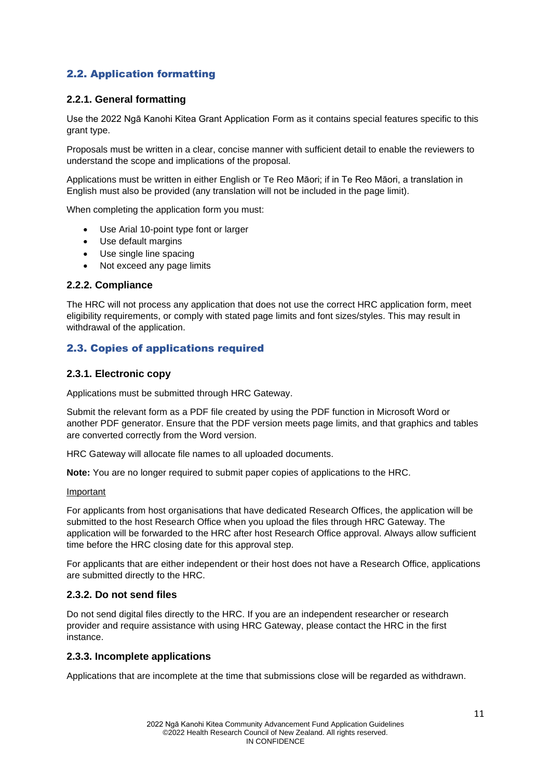# <span id="page-10-0"></span>2.2. Application formatting

# **2.2.1. General formatting**

Use the 2022 Ngā Kanohi Kitea Grant Application Form as it contains special features specific to this grant type.

Proposals must be written in a clear, concise manner with sufficient detail to enable the reviewers to understand the scope and implications of the proposal.

Applications must be written in either English or Te Reo Māori; if in Te Reo Māori, a translation in English must also be provided (any translation will not be included in the page limit).

When completing the application form you must:

- Use Arial 10-point type font or larger
- Use default margins
- Use single line spacing
- Not exceed any page limits

#### **2.2.2. Compliance**

The HRC will not process any application that does not use the correct HRC application form, meet eligibility requirements, or comply with stated page limits and font sizes/styles. This may result in withdrawal of the application.

# <span id="page-10-1"></span>2.3. Copies of applications required

#### **2.3.1. Electronic copy**

Applications must be submitted through HRC Gateway.

Submit the relevant form as a PDF file created by using the PDF function in Microsoft Word or another PDF generator. Ensure that the PDF version meets page limits, and that graphics and tables are converted correctly from the Word version.

HRC Gateway will allocate file names to all uploaded documents.

**Note:** You are no longer required to submit paper copies of applications to the HRC.

#### Important

For applicants from host organisations that have dedicated Research Offices, the application will be submitted to the host Research Office when you upload the files through HRC Gateway. The application will be forwarded to the HRC after host Research Office approval. Always allow sufficient time before the HRC closing date for this approval step.

For applicants that are either independent or their host does not have a Research Office, applications are submitted directly to the HRC.

#### **2.3.2. Do not send files**

Do not send digital files directly to the HRC. If you are an independent researcher or research provider and require assistance with using HRC Gateway, please contact the HRC in the first instance.

#### **2.3.3. Incomplete applications**

Applications that are incomplete at the time that submissions close will be regarded as withdrawn.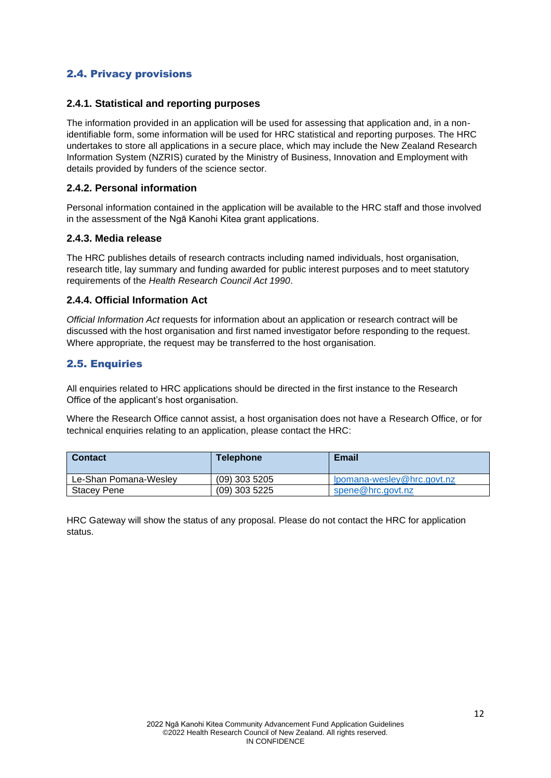# <span id="page-11-0"></span>2.4. Privacy provisions

## **2.4.1. Statistical and reporting purposes**

The information provided in an application will be used for assessing that application and, in a nonidentifiable form, some information will be used for HRC statistical and reporting purposes. The HRC undertakes to store all applications in a secure place, which may include the New Zealand Research Information System (NZRIS) curated by the Ministry of Business, Innovation and Employment with details provided by funders of the science sector.

## **2.4.2. Personal information**

Personal information contained in the application will be available to the HRC staff and those involved in the assessment of the Ngā Kanohi Kitea grant applications.

## **2.4.3. Media release**

The HRC publishes details of research contracts including named individuals, host organisation, research title, lay summary and funding awarded for public interest purposes and to meet statutory requirements of the *Health Research Council Act 1990*.

## **2.4.4. Official Information Act**

*Official Information Act* requests for information about an application or research contract will be discussed with the host organisation and first named investigator before responding to the request. Where appropriate, the request may be transferred to the host organisation.

# <span id="page-11-1"></span>2.5. Enquiries

All enquiries related to HRC applications should be directed in the first instance to the Research Office of the applicant's host organisation.

Where the Research Office cannot assist, a host organisation does not have a Research Office, or for technical enquiries relating to an application, please contact the HRC:

| <b>Contact</b>        | <b>Telephone</b> | <b>Email</b>               |
|-----------------------|------------------|----------------------------|
| Le-Shan Pomana-Wesley | $(09)$ 303 5205  | lpomana-wesley@hrc.govt.nz |
| Stacev Pene           | $(09)$ 303 5225  | spene@hrc.govt.nz          |

HRC Gateway will show the status of any proposal. Please do not contact the HRC for application status.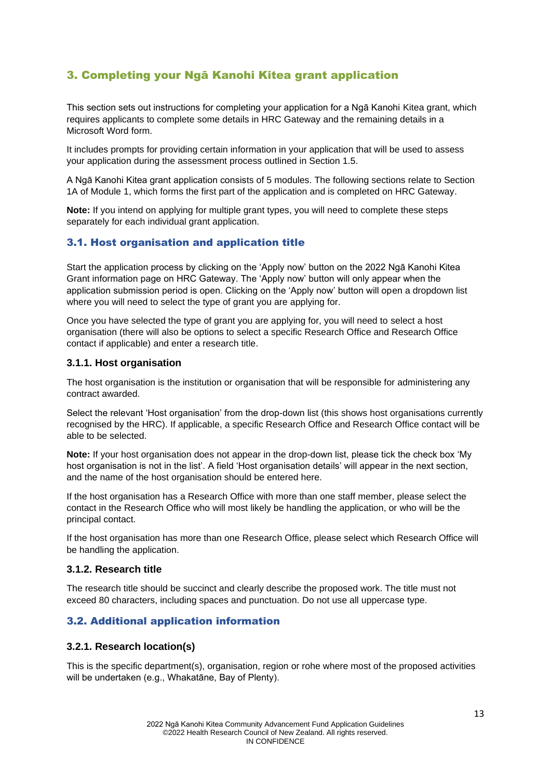# <span id="page-12-0"></span>3. Completing your Ngā Kanohi Kitea grant application

This section sets out instructions for completing your application for a Ngā Kanohi Kitea grant, which requires applicants to complete some details in HRC Gateway and the remaining details in a Microsoft Word form.

It includes prompts for providing certain information in your application that will be used to assess your application during the assessment process outlined in Section 1.5.

A Ngā Kanohi Kitea grant application consists of 5 modules. The following sections relate to Section 1A of Module 1, which forms the first part of the application and is completed on HRC Gateway.

**Note:** If you intend on applying for multiple grant types, you will need to complete these steps separately for each individual grant application.

# <span id="page-12-1"></span>3.1. Host organisation and application title

Start the application process by clicking on the 'Apply now' button on the 2022 Ngā Kanohi Kitea Grant information page on HRC Gateway. The 'Apply now' button will only appear when the application submission period is open. Clicking on the 'Apply now' button will open a dropdown list where you will need to select the type of grant you are applying for.

Once you have selected the type of grant you are applying for, you will need to select a host organisation (there will also be options to select a specific Research Office and Research Office contact if applicable) and enter a research title.

## **3.1.1. Host organisation**

The host organisation is the institution or organisation that will be responsible for administering any contract awarded.

Select the relevant 'Host organisation' from the drop-down list (this shows host organisations currently recognised by the HRC). If applicable, a specific Research Office and Research Office contact will be able to be selected.

**Note:** If your host organisation does not appear in the drop-down list, please tick the check box 'My host organisation is not in the list'. A field 'Host organisation details' will appear in the next section, and the name of the host organisation should be entered here.

If the host organisation has a Research Office with more than one staff member, please select the contact in the Research Office who will most likely be handling the application, or who will be the principal contact.

If the host organisation has more than one Research Office, please select which Research Office will be handling the application.

#### **3.1.2. Research title**

The research title should be succinct and clearly describe the proposed work. The title must not exceed 80 characters, including spaces and punctuation. Do not use all uppercase type.

# <span id="page-12-2"></span>3.2. Additional application information

# **3.2.1. Research location(s)**

This is the specific department(s), organisation, region or rohe where most of the proposed activities will be undertaken (e.g., Whakatāne, Bay of Plenty).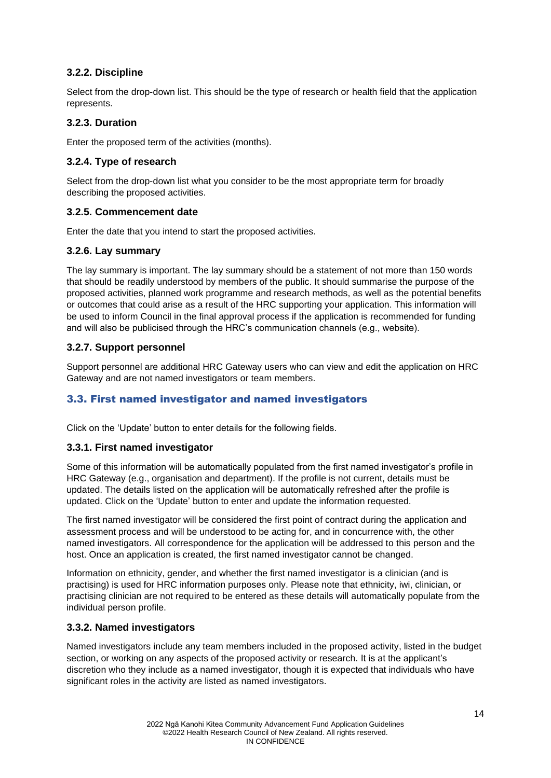# **3.2.2. Discipline**

Select from the drop-down list. This should be the type of research or health field that the application represents.

# **3.2.3. Duration**

Enter the proposed term of the activities (months).

# **3.2.4. Type of research**

Select from the drop-down list what you consider to be the most appropriate term for broadly describing the proposed activities.

# **3.2.5. Commencement date**

Enter the date that you intend to start the proposed activities.

# **3.2.6. Lay summary**

The lay summary is important. The lay summary should be a statement of not more than 150 words that should be readily understood by members of the public. It should summarise the purpose of the proposed activities, planned work programme and research methods, as well as the potential benefits or outcomes that could arise as a result of the HRC supporting your application. This information will be used to inform Council in the final approval process if the application is recommended for funding and will also be publicised through the HRC's communication channels (e.g., website).

# **3.2.7. Support personnel**

Support personnel are additional HRC Gateway users who can view and edit the application on HRC Gateway and are not named investigators or team members.

# <span id="page-13-0"></span>3.3. First named investigator and named investigators

Click on the 'Update' button to enter details for the following fields.

# **3.3.1. First named investigator**

Some of this information will be automatically populated from the first named investigator's profile in HRC Gateway (e.g., organisation and department). If the profile is not current, details must be updated. The details listed on the application will be automatically refreshed after the profile is updated. Click on the 'Update' button to enter and update the information requested.

The first named investigator will be considered the first point of contract during the application and assessment process and will be understood to be acting for, and in concurrence with, the other named investigators. All correspondence for the application will be addressed to this person and the host. Once an application is created, the first named investigator cannot be changed.

Information on ethnicity, gender, and whether the first named investigator is a clinician (and is practising) is used for HRC information purposes only. Please note that ethnicity, iwi, clinician, or practising clinician are not required to be entered as these details will automatically populate from the individual person profile.

# **3.3.2. Named investigators**

Named investigators include any team members included in the proposed activity, listed in the budget section, or working on any aspects of the proposed activity or research. It is at the applicant's discretion who they include as a named investigator, though it is expected that individuals who have significant roles in the activity are listed as named investigators.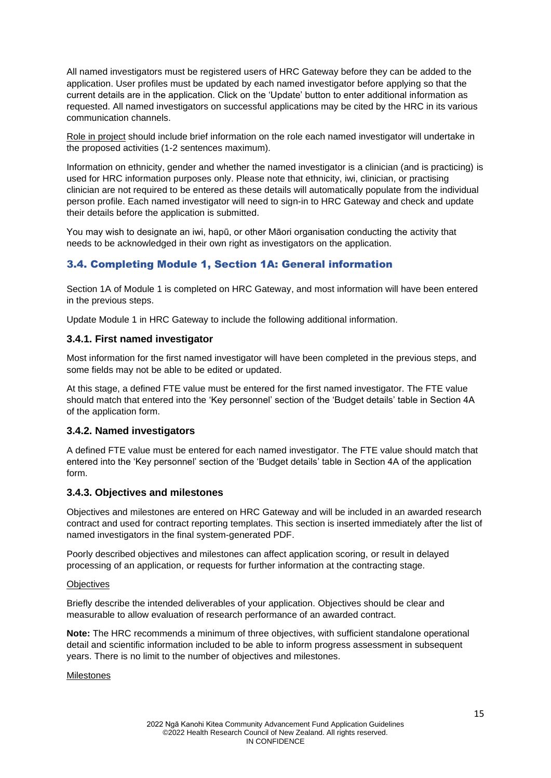All named investigators must be registered users of HRC Gateway before they can be added to the application. User profiles must be updated by each named investigator before applying so that the current details are in the application. Click on the 'Update' button to enter additional information as requested. All named investigators on successful applications may be cited by the HRC in its various communication channels.

Role in project should include brief information on the role each named investigator will undertake in the proposed activities (1-2 sentences maximum).

Information on ethnicity, gender and whether the named investigator is a clinician (and is practicing) is used for HRC information purposes only. Please note that ethnicity, iwi, clinician, or practising clinician are not required to be entered as these details will automatically populate from the individual person profile. Each named investigator will need to sign-in to HRC Gateway and check and update their details before the application is submitted.

You may wish to designate an iwi, hapū, or other Māori organisation conducting the activity that needs to be acknowledged in their own right as investigators on the application.

# <span id="page-14-0"></span>3.4. Completing Module 1, Section 1A: General information

Section 1A of Module 1 is completed on HRC Gateway, and most information will have been entered in the previous steps.

Update Module 1 in HRC Gateway to include the following additional information.

## **3.4.1. First named investigator**

Most information for the first named investigator will have been completed in the previous steps, and some fields may not be able to be edited or updated.

At this stage, a defined FTE value must be entered for the first named investigator. The FTE value should match that entered into the 'Key personnel' section of the 'Budget details' table in Section 4A of the application form.

# **3.4.2. Named investigators**

A defined FTE value must be entered for each named investigator. The FTE value should match that entered into the 'Key personnel' section of the 'Budget details' table in Section 4A of the application form.

# **3.4.3. Objectives and milestones**

Objectives and milestones are entered on HRC Gateway and will be included in an awarded research contract and used for contract reporting templates. This section is inserted immediately after the list of named investigators in the final system-generated PDF.

Poorly described objectives and milestones can affect application scoring, or result in delayed processing of an application, or requests for further information at the contracting stage.

#### **Objectives**

Briefly describe the intended deliverables of your application. Objectives should be clear and measurable to allow evaluation of research performance of an awarded contract.

**Note:** The HRC recommends a minimum of three objectives, with sufficient standalone operational detail and scientific information included to be able to inform progress assessment in subsequent years. There is no limit to the number of objectives and milestones.

Milestones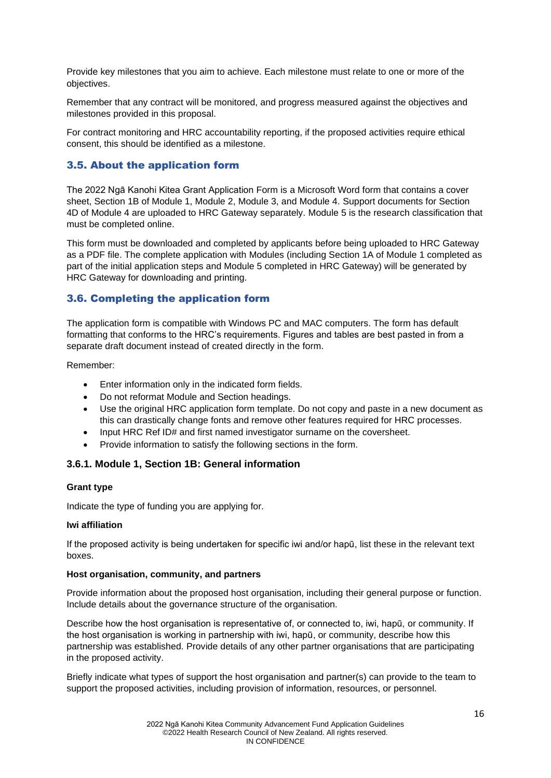Provide key milestones that you aim to achieve. Each milestone must relate to one or more of the objectives.

Remember that any contract will be monitored, and progress measured against the objectives and milestones provided in this proposal.

For contract monitoring and HRC accountability reporting, if the proposed activities require ethical consent, this should be identified as a milestone.

## <span id="page-15-0"></span>3.5. About the application form

The 2022 Ngā Kanohi Kitea Grant Application Form is a Microsoft Word form that contains a cover sheet, Section 1B of Module 1, Module 2, Module 3, and Module 4. Support documents for Section 4D of Module 4 are uploaded to HRC Gateway separately. Module 5 is the research classification that must be completed online.

This form must be downloaded and completed by applicants before being uploaded to HRC Gateway as a PDF file. The complete application with Modules (including Section 1A of Module 1 completed as part of the initial application steps and Module 5 completed in HRC Gateway) will be generated by HRC Gateway for downloading and printing.

# <span id="page-15-1"></span>3.6. Completing the application form

The application form is compatible with Windows PC and MAC computers. The form has default formatting that conforms to the HRC's requirements. Figures and tables are best pasted in from a separate draft document instead of created directly in the form.

Remember:

- Enter information only in the indicated form fields.
- Do not reformat Module and Section headings.
- Use the original HRC application form template. Do not copy and paste in a new document as this can drastically change fonts and remove other features required for HRC processes.
- Input HRC Ref ID# and first named investigator surname on the coversheet.
- Provide information to satisfy the following sections in the form.

#### <span id="page-15-2"></span>**3.6.1. Module 1, Section 1B: General information**

#### **Grant type**

Indicate the type of funding you are applying for.

#### **Iwi affiliation**

If the proposed activity is being undertaken for specific iwi and/or hapū, list these in the relevant text boxes.

#### **Host organisation, community, and partners**

Provide information about the proposed host organisation, including their general purpose or function. Include details about the governance structure of the organisation.

Describe how the host organisation is representative of, or connected to, iwi, hapū, or community. If the host organisation is working in partnership with iwi, hapū, or community, describe how this partnership was established. Provide details of any other partner organisations that are participating in the proposed activity.

Briefly indicate what types of support the host organisation and partner(s) can provide to the team to support the proposed activities, including provision of information, resources, or personnel.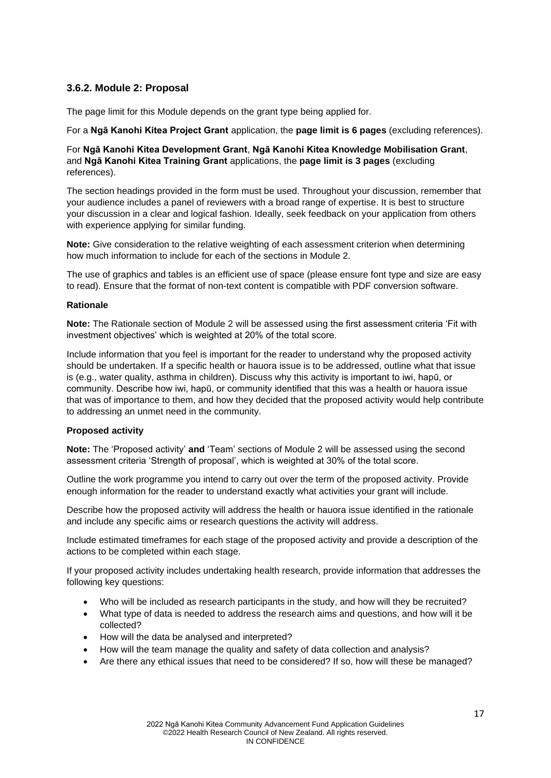# <span id="page-16-0"></span>**3.6.2. Module 2: Proposal**

The page limit for this Module depends on the grant type being applied for.

For a **Ngā Kanohi Kitea Project Grant** application, the **page limit is 6 pages** (excluding references).

#### For **Ngā Kanohi Kitea Development Grant**, **Ngā Kanohi Kitea Knowledge Mobilisation Grant**, and **Ngā Kanohi Kitea Training Grant** applications, the **page limit is 3 pages** (excluding references).

The section headings provided in the form must be used. Throughout your discussion, remember that your audience includes a panel of reviewers with a broad range of expertise. It is best to structure your discussion in a clear and logical fashion. Ideally, seek feedback on your application from others with experience applying for similar funding.

**Note:** Give consideration to the relative weighting of each assessment criterion when determining how much information to include for each of the sections in Module 2.

The use of graphics and tables is an efficient use of space (please ensure font type and size are easy to read). Ensure that the format of non-text content is compatible with PDF conversion software.

#### **Rationale**

**Note:** The Rationale section of Module 2 will be assessed using the first assessment criteria 'Fit with investment objectives' which is weighted at 20% of the total score.

Include information that you feel is important for the reader to understand why the proposed activity should be undertaken. If a specific health or hauora issue is to be addressed, outline what that issue is (e.g., water quality, asthma in children). Discuss why this activity is important to iwi, hapū, or community. Describe how iwi, hapū, or community identified that this was a health or hauora issue that was of importance to them, and how they decided that the proposed activity would help contribute to addressing an unmet need in the community.

#### **Proposed activity**

**Note:** The 'Proposed activity' **and** 'Team' sections of Module 2 will be assessed using the second assessment criteria 'Strength of proposal', which is weighted at 30% of the total score.

Outline the work programme you intend to carry out over the term of the proposed activity. Provide enough information for the reader to understand exactly what activities your grant will include.

Describe how the proposed activity will address the health or hauora issue identified in the rationale and include any specific aims or research questions the activity will address.

Include estimated timeframes for each stage of the proposed activity and provide a description of the actions to be completed within each stage.

If your proposed activity includes undertaking health research, provide information that addresses the following key questions:

- Who will be included as research participants in the study, and how will they be recruited?
- What type of data is needed to address the research aims and questions, and how will it be collected?
- How will the data be analysed and interpreted?
- How will the team manage the quality and safety of data collection and analysis?
- Are there any ethical issues that need to be considered? If so, how will these be managed?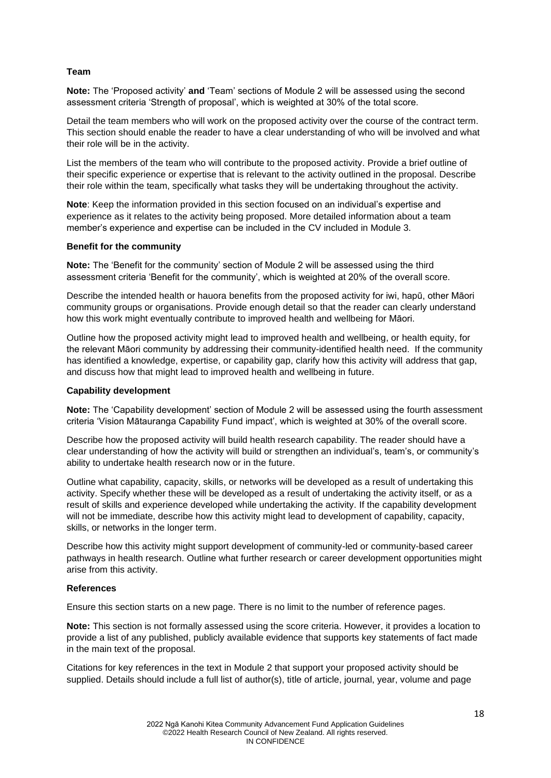#### **Team**

**Note:** The 'Proposed activity' **and** 'Team' sections of Module 2 will be assessed using the second assessment criteria 'Strength of proposal', which is weighted at 30% of the total score.

Detail the team members who will work on the proposed activity over the course of the contract term. This section should enable the reader to have a clear understanding of who will be involved and what their role will be in the activity.

List the members of the team who will contribute to the proposed activity. Provide a brief outline of their specific experience or expertise that is relevant to the activity outlined in the proposal. Describe their role within the team, specifically what tasks they will be undertaking throughout the activity.

**Note**: Keep the information provided in this section focused on an individual's expertise and experience as it relates to the activity being proposed. More detailed information about a team member's experience and expertise can be included in the CV included in Module 3.

#### **Benefit for the community**

**Note:** The 'Benefit for the community' section of Module 2 will be assessed using the third assessment criteria 'Benefit for the community', which is weighted at 20% of the overall score.

Describe the intended health or hauora benefits from the proposed activity for iwi, hapū, other Māori community groups or organisations. Provide enough detail so that the reader can clearly understand how this work might eventually contribute to improved health and wellbeing for Māori.

Outline how the proposed activity might lead to improved health and wellbeing, or health equity, for the relevant Māori community by addressing their community-identified health need. If the community has identified a knowledge, expertise, or capability gap, clarify how this activity will address that gap, and discuss how that might lead to improved health and wellbeing in future.

#### **Capability development**

**Note:** The 'Capability development' section of Module 2 will be assessed using the fourth assessment criteria 'Vision Mātauranga Capability Fund impact', which is weighted at 30% of the overall score.

Describe how the proposed activity will build health research capability. The reader should have a clear understanding of how the activity will build or strengthen an individual's, team's, or community's ability to undertake health research now or in the future.

Outline what capability, capacity, skills, or networks will be developed as a result of undertaking this activity. Specify whether these will be developed as a result of undertaking the activity itself, or as a result of skills and experience developed while undertaking the activity. If the capability development will not be immediate, describe how this activity might lead to development of capability, capacity, skills, or networks in the longer term.

Describe how this activity might support development of community-led or community-based career pathways in health research. Outline what further research or career development opportunities might arise from this activity.

#### **References**

Ensure this section starts on a new page. There is no limit to the number of reference pages.

**Note:** This section is not formally assessed using the score criteria. However, it provides a location to provide a list of any published, publicly available evidence that supports key statements of fact made in the main text of the proposal.

Citations for key references in the text in Module 2 that support your proposed activity should be supplied. Details should include a full list of author(s), title of article, journal, year, volume and page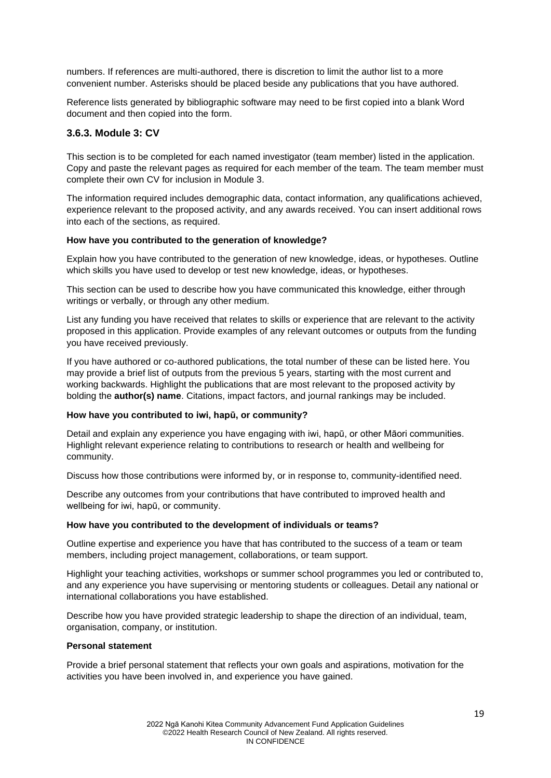numbers. If references are multi-authored, there is discretion to limit the author list to a more convenient number. Asterisks should be placed beside any publications that you have authored.

Reference lists generated by bibliographic software may need to be first copied into a blank Word document and then copied into the form.

## <span id="page-18-0"></span>**3.6.3. Module 3: CV**

This section is to be completed for each named investigator (team member) listed in the application. Copy and paste the relevant pages as required for each member of the team. The team member must complete their own CV for inclusion in Module 3.

The information required includes demographic data, contact information, any qualifications achieved, experience relevant to the proposed activity, and any awards received. You can insert additional rows into each of the sections, as required.

#### **How have you contributed to the generation of knowledge?**

Explain how you have contributed to the generation of new knowledge, ideas, or hypotheses. Outline which skills you have used to develop or test new knowledge, ideas, or hypotheses.

This section can be used to describe how you have communicated this knowledge, either through writings or verbally, or through any other medium.

List any funding you have received that relates to skills or experience that are relevant to the activity proposed in this application. Provide examples of any relevant outcomes or outputs from the funding you have received previously.

If you have authored or co-authored publications, the total number of these can be listed here. You may provide a brief list of outputs from the previous 5 years, starting with the most current and working backwards. Highlight the publications that are most relevant to the proposed activity by bolding the **author(s) name**. Citations, impact factors, and journal rankings may be included.

#### **How have you contributed to iwi, hapū, or community?**

Detail and explain any experience you have engaging with iwi, hapū, or other Māori communities. Highlight relevant experience relating to contributions to research or health and wellbeing for community.

Discuss how those contributions were informed by, or in response to, community-identified need.

Describe any outcomes from your contributions that have contributed to improved health and wellbeing for iwi, hapū, or community.

#### **How have you contributed to the development of individuals or teams?**

Outline expertise and experience you have that has contributed to the success of a team or team members, including project management, collaborations, or team support.

Highlight your teaching activities, workshops or summer school programmes you led or contributed to, and any experience you have supervising or mentoring students or colleagues. Detail any national or international collaborations you have established.

Describe how you have provided strategic leadership to shape the direction of an individual, team, organisation, company, or institution.

#### **Personal statement**

Provide a brief personal statement that reflects your own goals and aspirations, motivation for the activities you have been involved in, and experience you have gained.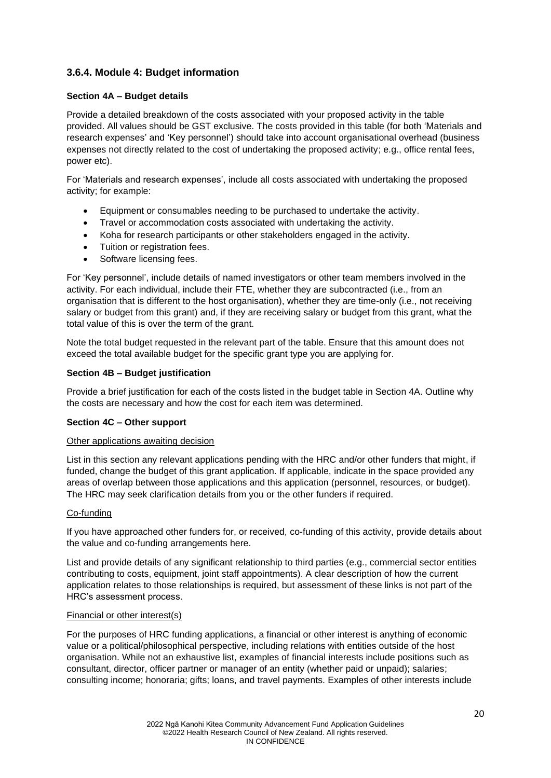# <span id="page-19-0"></span>**3.6.4. Module 4: Budget information**

#### **Section 4A – Budget details**

Provide a detailed breakdown of the costs associated with your proposed activity in the table provided. All values should be GST exclusive. The costs provided in this table (for both 'Materials and research expenses' and 'Key personnel') should take into account organisational overhead (business expenses not directly related to the cost of undertaking the proposed activity; e.g., office rental fees, power etc).

For 'Materials and research expenses', include all costs associated with undertaking the proposed activity; for example:

- Equipment or consumables needing to be purchased to undertake the activity.
- Travel or accommodation costs associated with undertaking the activity.
- Koha for research participants or other stakeholders engaged in the activity.
- Tuition or registration fees.
- Software licensing fees.

For 'Key personnel', include details of named investigators or other team members involved in the activity. For each individual, include their FTE, whether they are subcontracted (i.e., from an organisation that is different to the host organisation), whether they are time-only (i.e., not receiving salary or budget from this grant) and, if they are receiving salary or budget from this grant, what the total value of this is over the term of the grant.

Note the total budget requested in the relevant part of the table. Ensure that this amount does not exceed the total available budget for the specific grant type you are applying for.

#### **Section 4B – Budget justification**

Provide a brief justification for each of the costs listed in the budget table in Section 4A. Outline why the costs are necessary and how the cost for each item was determined.

#### **Section 4C – Other support**

#### Other applications awaiting decision

List in this section any relevant applications pending with the HRC and/or other funders that might, if funded, change the budget of this grant application. If applicable, indicate in the space provided any areas of overlap between those applications and this application (personnel, resources, or budget). The HRC may seek clarification details from you or the other funders if required.

#### Co-funding

If you have approached other funders for, or received, co-funding of this activity, provide details about the value and co-funding arrangements here.

List and provide details of any significant relationship to third parties (e.g., commercial sector entities contributing to costs, equipment, joint staff appointments). A clear description of how the current application relates to those relationships is required, but assessment of these links is not part of the HRC's assessment process.

#### Financial or other interest(s)

For the purposes of HRC funding applications, a financial or other interest is anything of economic value or a political/philosophical perspective, including relations with entities outside of the host organisation. While not an exhaustive list, examples of financial interests include positions such as consultant, director, officer partner or manager of an entity (whether paid or unpaid); salaries; consulting income; honoraria; gifts; loans, and travel payments. Examples of other interests include